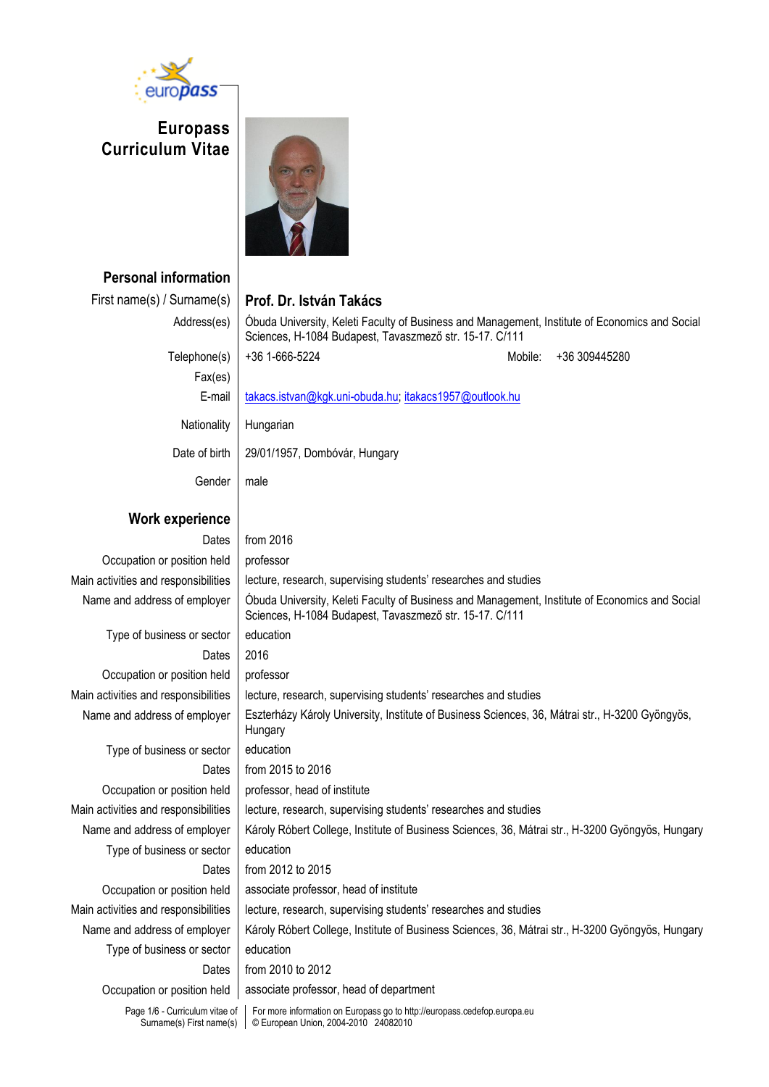

**Europass Curriculum Vitae**



**Personal information**

| First name(s) / Surname(s)           | Prof. Dr. István Takács                                                                                                                                   |
|--------------------------------------|-----------------------------------------------------------------------------------------------------------------------------------------------------------|
| Address(es)                          | Obuda University, Keleti Faculty of Business and Management, Institute of Economics and Social<br>Sciences, H-1084 Budapest, Tavaszmező str. 15-17. C/111 |
| Telephone(s)                         | +36 1-666-5224<br>+36 309445280<br>Mobile:                                                                                                                |
| Fax(es)                              |                                                                                                                                                           |
| E-mail                               | takacs.istvan@kgk.uni-obuda.hu; itakacs1957@outlook.hu                                                                                                    |
| Nationality                          | Hungarian                                                                                                                                                 |
| Date of birth                        | 29/01/1957, Dombóvár, Hungary                                                                                                                             |
| Gender                               | male                                                                                                                                                      |
| Work experience                      |                                                                                                                                                           |
| Dates                                | from 2016                                                                                                                                                 |
| Occupation or position held          | professor                                                                                                                                                 |
| Main activities and responsibilities | lecture, research, supervising students' researches and studies                                                                                           |
| Name and address of employer         | Obuda University, Keleti Faculty of Business and Management, Institute of Economics and Social<br>Sciences, H-1084 Budapest, Tavaszmező str. 15-17. C/111 |
| Type of business or sector           | education                                                                                                                                                 |
| Dates                                | 2016                                                                                                                                                      |
| Occupation or position held          | professor                                                                                                                                                 |
| Main activities and responsibilities | lecture, research, supervising students' researches and studies                                                                                           |
| Name and address of employer         | Eszterházy Károly University, Institute of Business Sciences, 36, Mátrai str., H-3200 Gyöngyös,<br>Hungary                                                |
| Type of business or sector           | education                                                                                                                                                 |
| Dates                                | from 2015 to 2016                                                                                                                                         |
| Occupation or position held          | professor, head of institute                                                                                                                              |
| Main activities and responsibilities | lecture, research, supervising students' researches and studies                                                                                           |
| Name and address of employer         | Károly Róbert College, Institute of Business Sciences, 36, Mátrai str., H-3200 Gyöngyös, Hungary                                                          |
| Type of business or sector           | education                                                                                                                                                 |
| Dates                                | from 2012 to 2015                                                                                                                                         |
| Occupation or position held          | associate professor, head of institute                                                                                                                    |
| Main activities and responsibilities | lecture, research, supervising students' researches and studies                                                                                           |
| Name and address of employer         | Károly Róbert College, Institute of Business Sciences, 36, Mátrai str., H-3200 Gyöngyös, Hungary                                                          |
| Type of business or sector           | education                                                                                                                                                 |
| Dates                                | from 2010 to 2012                                                                                                                                         |
| Occupation or position held          | associate professor, head of department                                                                                                                   |

Page 1/6 - Curriculum vitae of Surname(s) First name(s)

For more information on Europass go to http://europass.cedefop.europa.eu © European Union, 2004-2010 24082010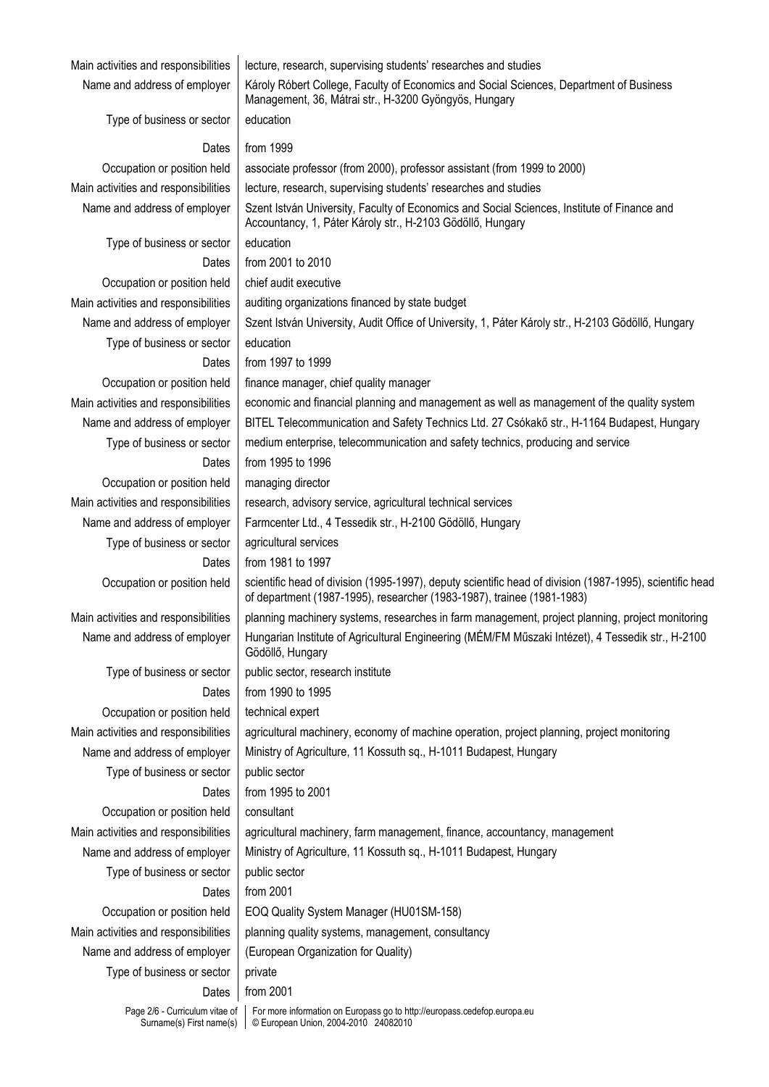| Main activities and responsibilities                       | lecture, research, supervising students' researches and studies                                                                                                                    |
|------------------------------------------------------------|------------------------------------------------------------------------------------------------------------------------------------------------------------------------------------|
| Name and address of employer                               | Károly Róbert College, Faculty of Economics and Social Sciences, Department of Business<br>Management, 36, Mátrai str., H-3200 Gyöngyös, Hungary                                   |
| Type of business or sector                                 | education                                                                                                                                                                          |
| Dates                                                      | from 1999                                                                                                                                                                          |
| Occupation or position held                                | associate professor (from 2000), professor assistant (from 1999 to 2000)                                                                                                           |
| Main activities and responsibilities                       | lecture, research, supervising students' researches and studies                                                                                                                    |
| Name and address of employer                               | Szent István University, Faculty of Economics and Social Sciences, Institute of Finance and                                                                                        |
|                                                            | Accountancy, 1, Páter Károly str., H-2103 Gödöllő, Hungary                                                                                                                         |
| Type of business or sector                                 | education                                                                                                                                                                          |
| Dates                                                      | from 2001 to 2010                                                                                                                                                                  |
| Occupation or position held                                | chief audit executive                                                                                                                                                              |
| Main activities and responsibilities                       | auditing organizations financed by state budget                                                                                                                                    |
| Name and address of employer                               | Szent István University, Audit Office of University, 1, Páter Károly str., H-2103 Gödöllő, Hungary                                                                                 |
| Type of business or sector                                 | education                                                                                                                                                                          |
| Dates                                                      | from 1997 to 1999                                                                                                                                                                  |
| Occupation or position held                                | finance manager, chief quality manager                                                                                                                                             |
| Main activities and responsibilities                       | economic and financial planning and management as well as management of the quality system                                                                                         |
| Name and address of employer                               | BITEL Telecommunication and Safety Technics Ltd. 27 Csókakő str., H-1164 Budapest, Hungary                                                                                         |
| Type of business or sector                                 | medium enterprise, telecommunication and safety technics, producing and service                                                                                                    |
| Dates                                                      | from 1995 to 1996                                                                                                                                                                  |
| Occupation or position held                                | managing director                                                                                                                                                                  |
| Main activities and responsibilities                       | research, advisory service, agricultural technical services                                                                                                                        |
| Name and address of employer                               | Farmcenter Ltd., 4 Tessedik str., H-2100 Gödöllő, Hungary                                                                                                                          |
| Type of business or sector                                 | agricultural services                                                                                                                                                              |
| Dates                                                      | from 1981 to 1997                                                                                                                                                                  |
| Occupation or position held                                | scientific head of division (1995-1997), deputy scientific head of division (1987-1995), scientific head<br>of department (1987-1995), researcher (1983-1987), trainee (1981-1983) |
| Main activities and responsibilities                       | planning machinery systems, researches in farm management, project planning, project monitoring                                                                                    |
| Name and address of employer                               | Hungarian Institute of Agricultural Engineering (MÉM/FM Műszaki Intézet), 4 Tessedik str., H-2100<br>Gödöllő, Hungary                                                              |
| Type of business or sector                                 | public sector, research institute                                                                                                                                                  |
| Dates                                                      | from 1990 to 1995                                                                                                                                                                  |
| Occupation or position held                                | technical expert                                                                                                                                                                   |
| Main activities and responsibilities                       | agricultural machinery, economy of machine operation, project planning, project monitoring                                                                                         |
| Name and address of employer                               | Ministry of Agriculture, 11 Kossuth sq., H-1011 Budapest, Hungary                                                                                                                  |
| Type of business or sector                                 | public sector                                                                                                                                                                      |
| Dates                                                      | from 1995 to 2001                                                                                                                                                                  |
| Occupation or position held                                | consultant                                                                                                                                                                         |
| Main activities and responsibilities                       | agricultural machinery, farm management, finance, accountancy, management                                                                                                          |
| Name and address of employer                               | Ministry of Agriculture, 11 Kossuth sq., H-1011 Budapest, Hungary                                                                                                                  |
| Type of business or sector                                 | public sector                                                                                                                                                                      |
| Dates                                                      | from 2001                                                                                                                                                                          |
| Occupation or position held                                | EOQ Quality System Manager (HU01SM-158)                                                                                                                                            |
| Main activities and responsibilities                       | planning quality systems, management, consultancy                                                                                                                                  |
| Name and address of employer                               | (European Organization for Quality)                                                                                                                                                |
| Type of business or sector                                 | private                                                                                                                                                                            |
| Dates                                                      | from 2001                                                                                                                                                                          |
| Page 2/6 - Curriculum vitae of<br>Surname(s) First name(s) | For more information on Europass go to http://europass.cedefop.europa.eu<br>© European Union, 2004-2010 24082010                                                                   |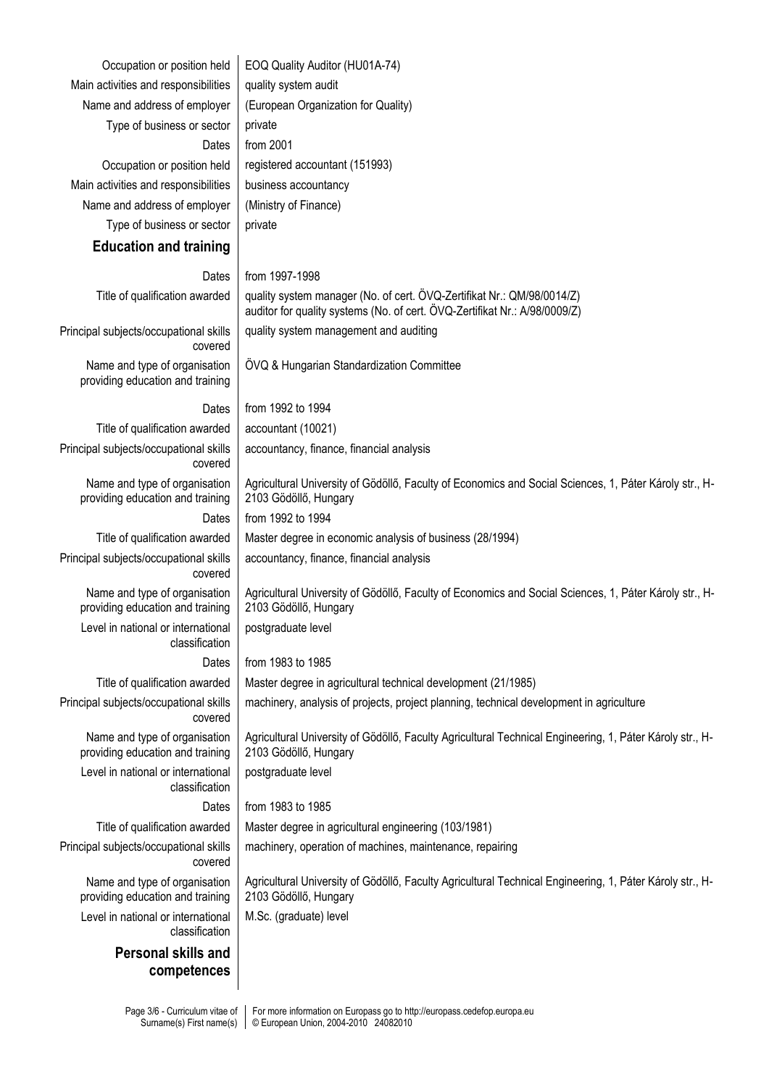| Occupation or position held                                       | EOQ Quality Auditor (HU01A-74)                                                                                                                       |
|-------------------------------------------------------------------|------------------------------------------------------------------------------------------------------------------------------------------------------|
| Main activities and responsibilities                              | quality system audit                                                                                                                                 |
| Name and address of employer                                      | (European Organization for Quality)                                                                                                                  |
| Type of business or sector                                        | private                                                                                                                                              |
| Dates                                                             | from 2001                                                                                                                                            |
| Occupation or position held                                       | registered accountant (151993)                                                                                                                       |
| Main activities and responsibilities                              | business accountancy                                                                                                                                 |
| Name and address of employer                                      | (Ministry of Finance)                                                                                                                                |
| Type of business or sector                                        | private                                                                                                                                              |
| <b>Education and training</b>                                     |                                                                                                                                                      |
| Dates                                                             | from 1997-1998                                                                                                                                       |
| Title of qualification awarded                                    | quality system manager (No. of cert. OVQ-Zertifikat Nr.: QM/98/0014/Z)<br>auditor for quality systems (No. of cert. OVQ-Zertifikat Nr.: A/98/0009/Z) |
| Principal subjects/occupational skills<br>covered                 | quality system management and auditing                                                                                                               |
| Name and type of organisation<br>providing education and training | ÖVQ & Hungarian Standardization Committee                                                                                                            |
| Dates                                                             | from 1992 to 1994                                                                                                                                    |
| Title of qualification awarded                                    | accountant (10021)                                                                                                                                   |
| Principal subjects/occupational skills<br>covered                 | accountancy, finance, financial analysis                                                                                                             |
| Name and type of organisation<br>providing education and training | Agricultural University of Gödöllő, Faculty of Economics and Social Sciences, 1, Páter Károly str., H-<br>2103 Gödöllő, Hungary                      |
| Dates                                                             | from 1992 to 1994                                                                                                                                    |
| Title of qualification awarded                                    | Master degree in economic analysis of business (28/1994)                                                                                             |
| Principal subjects/occupational skills<br>covered                 | accountancy, finance, financial analysis                                                                                                             |
| Name and type of organisation<br>providing education and training | Agricultural University of Gödöllő, Faculty of Economics and Social Sciences, 1, Páter Károly str., H-<br>2103 Gödöllő, Hungary                      |
| Level in national or international<br>classification              | postgraduate level                                                                                                                                   |
| Dates                                                             | from 1983 to 1985                                                                                                                                    |
| Title of qualification awarded                                    | Master degree in agricultural technical development (21/1985)                                                                                        |
| Principal subjects/occupational skills<br>covered                 | machinery, analysis of projects, project planning, technical development in agriculture                                                              |
| Name and type of organisation<br>providing education and training | Agricultural University of Gödöllő, Faculty Agricultural Technical Engineering, 1, Páter Károly str., H-<br>2103 Gödöllő, Hungary                    |
| Level in national or international<br>classification              | postgraduate level                                                                                                                                   |
| Dates                                                             | from 1983 to 1985                                                                                                                                    |
| Title of qualification awarded                                    | Master degree in agricultural engineering (103/1981)                                                                                                 |
| Principal subjects/occupational skills<br>covered                 | machinery, operation of machines, maintenance, repairing                                                                                             |
| Name and type of organisation<br>providing education and training | Agricultural University of Gödöllő, Faculty Agricultural Technical Engineering, 1, Páter Károly str., H-<br>2103 Gödöllő, Hungary                    |
| Level in national or international<br>classification              | M.Sc. (graduate) level                                                                                                                               |
| <b>Personal skills and</b>                                        |                                                                                                                                                      |
| competences                                                       |                                                                                                                                                      |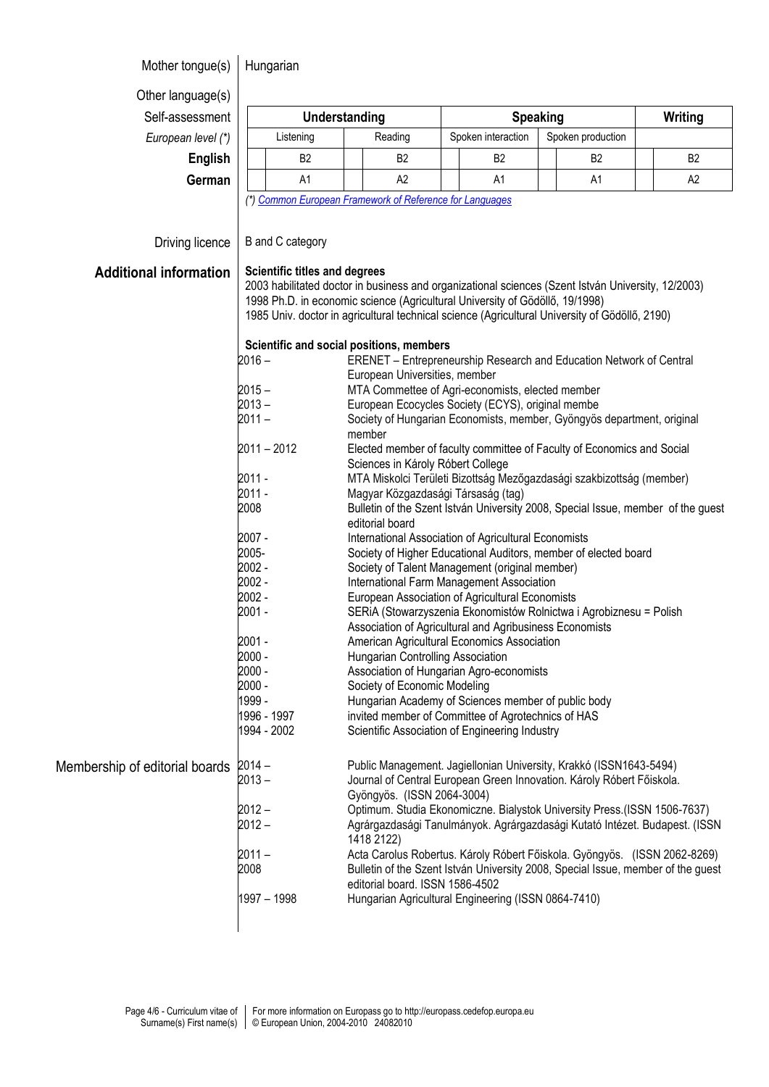## Mother tongue(s) | Hungarian

Other language(s)  $Self-assessment$ 

*European level (\*)* 

| <i>.</i>       |                      |                |                                                          |                   |                |  |                |                |  |
|----------------|----------------------|----------------|----------------------------------------------------------|-------------------|----------------|--|----------------|----------------|--|
| essment        | Understanding        |                |                                                          | <b>Speaking</b>   |                |  |                | Writing        |  |
| n level (*)    | Listening<br>Reading |                | Spoken interaction                                       | Spoken production |                |  |                |                |  |
| <b>English</b> |                      | B <sub>2</sub> | B <sub>2</sub>                                           |                   | B <sub>2</sub> |  | B <sub>2</sub> | B <sub>2</sub> |  |
| German         |                      | A1             | A2                                                       |                   | A1             |  | A1             | A2             |  |
|                |                      |                | (*) Common European Framework of Peterspee for Languages |                   |                |  |                |                |  |

*(\*[\) Common European Framework of Reference for Languages](http://europass.cedefop.europa.eu/LanguageSelfAssessmentGrid/en)*

**Additi** 

Membership

| <b>Scientific titles and degrees</b><br>onal information<br>2003 habilitated doctor in business and organizational sciences (Szent István University, 12/2003)<br>1998 Ph.D. in economic science (Agricultural University of Gödöllő, 19/1998)<br>1985 Univ. doctor in agricultural technical science (Agricultural University of Gödöllő, 2190)<br>Scientific and social positions, members<br>$2016 -$<br><b>ERENET</b> – Entrepreneurship Research and Education Network of Central<br>European Universities, member<br>$2015 -$<br>MTA Commettee of Agri-economists, elected member<br>$2013 -$<br>European Ecocycles Society (ECYS), original membe<br>$2011 -$<br>Society of Hungarian Economists, member, Gyöngyös department, original<br>member<br>$2011 - 2012$<br>Elected member of faculty committee of Faculty of Economics and Social<br>Sciences in Károly Róbert College<br>2011 -<br>MTA Miskolci Területi Bizottság Mezőgazdasági szakbizottság (member)<br>2011 -<br>Magyar Közgazdasági Társaság (tag)<br>2008<br>Bulletin of the Szent István University 2008, Special Issue, member of the guest<br>editorial board<br>2007 -<br>International Association of Agricultural Economists<br>2005-<br>Society of Higher Educational Auditors, member of elected board<br>2002 -<br>Society of Talent Management (original member)<br>2002 -<br>International Farm Management Association<br>2002 -<br>European Association of Agricultural Economists<br>2001 -<br>SERIA (Stowarzyszenia Ekonomistów Rolnictwa i Agrobiznesu = Polish<br>Association of Agricultural and Agribusiness Economists<br>2001 -<br>American Agricultural Economics Association<br>2000 -<br>Hungarian Controlling Association<br>2000 -<br>Association of Hungarian Agro-economists<br>2000 -<br>Society of Economic Modeling<br>1999 -<br>Hungarian Academy of Sciences member of public body<br>1996 - 1997<br>invited member of Committee of Agrotechnics of HAS<br>1994 - 2002<br>Scientific Association of Engineering Industry<br>Public Management. Jagiellonian University, Krakkó (ISSN1643-5494)<br>of editorial boards 2014 -<br>$2013 -$<br>Journal of Central European Green Innovation. Károly Róbert Főiskola.<br>Gyöngyös. (ISSN 2064-3004)<br>$2012 -$<br>Optimum. Studia Ekonomiczne. Bialystok University Press.(ISSN 1506-7637)<br>$2012 -$<br>1418 2122)<br>$2011 -$<br>2008<br>editorial board. ISSN 1586-4502 | Driving licence | B and C category |                                                                                  |
|-----------------------------------------------------------------------------------------------------------------------------------------------------------------------------------------------------------------------------------------------------------------------------------------------------------------------------------------------------------------------------------------------------------------------------------------------------------------------------------------------------------------------------------------------------------------------------------------------------------------------------------------------------------------------------------------------------------------------------------------------------------------------------------------------------------------------------------------------------------------------------------------------------------------------------------------------------------------------------------------------------------------------------------------------------------------------------------------------------------------------------------------------------------------------------------------------------------------------------------------------------------------------------------------------------------------------------------------------------------------------------------------------------------------------------------------------------------------------------------------------------------------------------------------------------------------------------------------------------------------------------------------------------------------------------------------------------------------------------------------------------------------------------------------------------------------------------------------------------------------------------------------------------------------------------------------------------------------------------------------------------------------------------------------------------------------------------------------------------------------------------------------------------------------------------------------------------------------------------------------------------------------------------------------------------------------------------------------------------------------------------------------------------------------------------------|-----------------|------------------|----------------------------------------------------------------------------------|
|                                                                                                                                                                                                                                                                                                                                                                                                                                                                                                                                                                                                                                                                                                                                                                                                                                                                                                                                                                                                                                                                                                                                                                                                                                                                                                                                                                                                                                                                                                                                                                                                                                                                                                                                                                                                                                                                                                                                                                                                                                                                                                                                                                                                                                                                                                                                                                                                                                   |                 |                  |                                                                                  |
|                                                                                                                                                                                                                                                                                                                                                                                                                                                                                                                                                                                                                                                                                                                                                                                                                                                                                                                                                                                                                                                                                                                                                                                                                                                                                                                                                                                                                                                                                                                                                                                                                                                                                                                                                                                                                                                                                                                                                                                                                                                                                                                                                                                                                                                                                                                                                                                                                                   |                 |                  |                                                                                  |
|                                                                                                                                                                                                                                                                                                                                                                                                                                                                                                                                                                                                                                                                                                                                                                                                                                                                                                                                                                                                                                                                                                                                                                                                                                                                                                                                                                                                                                                                                                                                                                                                                                                                                                                                                                                                                                                                                                                                                                                                                                                                                                                                                                                                                                                                                                                                                                                                                                   |                 |                  |                                                                                  |
|                                                                                                                                                                                                                                                                                                                                                                                                                                                                                                                                                                                                                                                                                                                                                                                                                                                                                                                                                                                                                                                                                                                                                                                                                                                                                                                                                                                                                                                                                                                                                                                                                                                                                                                                                                                                                                                                                                                                                                                                                                                                                                                                                                                                                                                                                                                                                                                                                                   |                 |                  |                                                                                  |
|                                                                                                                                                                                                                                                                                                                                                                                                                                                                                                                                                                                                                                                                                                                                                                                                                                                                                                                                                                                                                                                                                                                                                                                                                                                                                                                                                                                                                                                                                                                                                                                                                                                                                                                                                                                                                                                                                                                                                                                                                                                                                                                                                                                                                                                                                                                                                                                                                                   |                 |                  |                                                                                  |
|                                                                                                                                                                                                                                                                                                                                                                                                                                                                                                                                                                                                                                                                                                                                                                                                                                                                                                                                                                                                                                                                                                                                                                                                                                                                                                                                                                                                                                                                                                                                                                                                                                                                                                                                                                                                                                                                                                                                                                                                                                                                                                                                                                                                                                                                                                                                                                                                                                   |                 |                  |                                                                                  |
|                                                                                                                                                                                                                                                                                                                                                                                                                                                                                                                                                                                                                                                                                                                                                                                                                                                                                                                                                                                                                                                                                                                                                                                                                                                                                                                                                                                                                                                                                                                                                                                                                                                                                                                                                                                                                                                                                                                                                                                                                                                                                                                                                                                                                                                                                                                                                                                                                                   |                 |                  |                                                                                  |
|                                                                                                                                                                                                                                                                                                                                                                                                                                                                                                                                                                                                                                                                                                                                                                                                                                                                                                                                                                                                                                                                                                                                                                                                                                                                                                                                                                                                                                                                                                                                                                                                                                                                                                                                                                                                                                                                                                                                                                                                                                                                                                                                                                                                                                                                                                                                                                                                                                   |                 |                  |                                                                                  |
|                                                                                                                                                                                                                                                                                                                                                                                                                                                                                                                                                                                                                                                                                                                                                                                                                                                                                                                                                                                                                                                                                                                                                                                                                                                                                                                                                                                                                                                                                                                                                                                                                                                                                                                                                                                                                                                                                                                                                                                                                                                                                                                                                                                                                                                                                                                                                                                                                                   |                 |                  |                                                                                  |
|                                                                                                                                                                                                                                                                                                                                                                                                                                                                                                                                                                                                                                                                                                                                                                                                                                                                                                                                                                                                                                                                                                                                                                                                                                                                                                                                                                                                                                                                                                                                                                                                                                                                                                                                                                                                                                                                                                                                                                                                                                                                                                                                                                                                                                                                                                                                                                                                                                   |                 |                  |                                                                                  |
|                                                                                                                                                                                                                                                                                                                                                                                                                                                                                                                                                                                                                                                                                                                                                                                                                                                                                                                                                                                                                                                                                                                                                                                                                                                                                                                                                                                                                                                                                                                                                                                                                                                                                                                                                                                                                                                                                                                                                                                                                                                                                                                                                                                                                                                                                                                                                                                                                                   |                 |                  |                                                                                  |
|                                                                                                                                                                                                                                                                                                                                                                                                                                                                                                                                                                                                                                                                                                                                                                                                                                                                                                                                                                                                                                                                                                                                                                                                                                                                                                                                                                                                                                                                                                                                                                                                                                                                                                                                                                                                                                                                                                                                                                                                                                                                                                                                                                                                                                                                                                                                                                                                                                   |                 |                  |                                                                                  |
|                                                                                                                                                                                                                                                                                                                                                                                                                                                                                                                                                                                                                                                                                                                                                                                                                                                                                                                                                                                                                                                                                                                                                                                                                                                                                                                                                                                                                                                                                                                                                                                                                                                                                                                                                                                                                                                                                                                                                                                                                                                                                                                                                                                                                                                                                                                                                                                                                                   |                 |                  |                                                                                  |
|                                                                                                                                                                                                                                                                                                                                                                                                                                                                                                                                                                                                                                                                                                                                                                                                                                                                                                                                                                                                                                                                                                                                                                                                                                                                                                                                                                                                                                                                                                                                                                                                                                                                                                                                                                                                                                                                                                                                                                                                                                                                                                                                                                                                                                                                                                                                                                                                                                   |                 |                  |                                                                                  |
|                                                                                                                                                                                                                                                                                                                                                                                                                                                                                                                                                                                                                                                                                                                                                                                                                                                                                                                                                                                                                                                                                                                                                                                                                                                                                                                                                                                                                                                                                                                                                                                                                                                                                                                                                                                                                                                                                                                                                                                                                                                                                                                                                                                                                                                                                                                                                                                                                                   |                 |                  |                                                                                  |
|                                                                                                                                                                                                                                                                                                                                                                                                                                                                                                                                                                                                                                                                                                                                                                                                                                                                                                                                                                                                                                                                                                                                                                                                                                                                                                                                                                                                                                                                                                                                                                                                                                                                                                                                                                                                                                                                                                                                                                                                                                                                                                                                                                                                                                                                                                                                                                                                                                   |                 |                  |                                                                                  |
|                                                                                                                                                                                                                                                                                                                                                                                                                                                                                                                                                                                                                                                                                                                                                                                                                                                                                                                                                                                                                                                                                                                                                                                                                                                                                                                                                                                                                                                                                                                                                                                                                                                                                                                                                                                                                                                                                                                                                                                                                                                                                                                                                                                                                                                                                                                                                                                                                                   |                 |                  |                                                                                  |
|                                                                                                                                                                                                                                                                                                                                                                                                                                                                                                                                                                                                                                                                                                                                                                                                                                                                                                                                                                                                                                                                                                                                                                                                                                                                                                                                                                                                                                                                                                                                                                                                                                                                                                                                                                                                                                                                                                                                                                                                                                                                                                                                                                                                                                                                                                                                                                                                                                   |                 |                  |                                                                                  |
|                                                                                                                                                                                                                                                                                                                                                                                                                                                                                                                                                                                                                                                                                                                                                                                                                                                                                                                                                                                                                                                                                                                                                                                                                                                                                                                                                                                                                                                                                                                                                                                                                                                                                                                                                                                                                                                                                                                                                                                                                                                                                                                                                                                                                                                                                                                                                                                                                                   |                 |                  |                                                                                  |
|                                                                                                                                                                                                                                                                                                                                                                                                                                                                                                                                                                                                                                                                                                                                                                                                                                                                                                                                                                                                                                                                                                                                                                                                                                                                                                                                                                                                                                                                                                                                                                                                                                                                                                                                                                                                                                                                                                                                                                                                                                                                                                                                                                                                                                                                                                                                                                                                                                   |                 |                  |                                                                                  |
|                                                                                                                                                                                                                                                                                                                                                                                                                                                                                                                                                                                                                                                                                                                                                                                                                                                                                                                                                                                                                                                                                                                                                                                                                                                                                                                                                                                                                                                                                                                                                                                                                                                                                                                                                                                                                                                                                                                                                                                                                                                                                                                                                                                                                                                                                                                                                                                                                                   |                 |                  |                                                                                  |
|                                                                                                                                                                                                                                                                                                                                                                                                                                                                                                                                                                                                                                                                                                                                                                                                                                                                                                                                                                                                                                                                                                                                                                                                                                                                                                                                                                                                                                                                                                                                                                                                                                                                                                                                                                                                                                                                                                                                                                                                                                                                                                                                                                                                                                                                                                                                                                                                                                   |                 |                  |                                                                                  |
|                                                                                                                                                                                                                                                                                                                                                                                                                                                                                                                                                                                                                                                                                                                                                                                                                                                                                                                                                                                                                                                                                                                                                                                                                                                                                                                                                                                                                                                                                                                                                                                                                                                                                                                                                                                                                                                                                                                                                                                                                                                                                                                                                                                                                                                                                                                                                                                                                                   |                 |                  |                                                                                  |
|                                                                                                                                                                                                                                                                                                                                                                                                                                                                                                                                                                                                                                                                                                                                                                                                                                                                                                                                                                                                                                                                                                                                                                                                                                                                                                                                                                                                                                                                                                                                                                                                                                                                                                                                                                                                                                                                                                                                                                                                                                                                                                                                                                                                                                                                                                                                                                                                                                   |                 |                  |                                                                                  |
|                                                                                                                                                                                                                                                                                                                                                                                                                                                                                                                                                                                                                                                                                                                                                                                                                                                                                                                                                                                                                                                                                                                                                                                                                                                                                                                                                                                                                                                                                                                                                                                                                                                                                                                                                                                                                                                                                                                                                                                                                                                                                                                                                                                                                                                                                                                                                                                                                                   |                 |                  |                                                                                  |
|                                                                                                                                                                                                                                                                                                                                                                                                                                                                                                                                                                                                                                                                                                                                                                                                                                                                                                                                                                                                                                                                                                                                                                                                                                                                                                                                                                                                                                                                                                                                                                                                                                                                                                                                                                                                                                                                                                                                                                                                                                                                                                                                                                                                                                                                                                                                                                                                                                   |                 |                  |                                                                                  |
|                                                                                                                                                                                                                                                                                                                                                                                                                                                                                                                                                                                                                                                                                                                                                                                                                                                                                                                                                                                                                                                                                                                                                                                                                                                                                                                                                                                                                                                                                                                                                                                                                                                                                                                                                                                                                                                                                                                                                                                                                                                                                                                                                                                                                                                                                                                                                                                                                                   |                 |                  |                                                                                  |
|                                                                                                                                                                                                                                                                                                                                                                                                                                                                                                                                                                                                                                                                                                                                                                                                                                                                                                                                                                                                                                                                                                                                                                                                                                                                                                                                                                                                                                                                                                                                                                                                                                                                                                                                                                                                                                                                                                                                                                                                                                                                                                                                                                                                                                                                                                                                                                                                                                   |                 |                  |                                                                                  |
|                                                                                                                                                                                                                                                                                                                                                                                                                                                                                                                                                                                                                                                                                                                                                                                                                                                                                                                                                                                                                                                                                                                                                                                                                                                                                                                                                                                                                                                                                                                                                                                                                                                                                                                                                                                                                                                                                                                                                                                                                                                                                                                                                                                                                                                                                                                                                                                                                                   |                 |                  | Agrárgazdasági Tanulmányok. Agrárgazdasági Kutató Intézet. Budapest. (ISSN       |
|                                                                                                                                                                                                                                                                                                                                                                                                                                                                                                                                                                                                                                                                                                                                                                                                                                                                                                                                                                                                                                                                                                                                                                                                                                                                                                                                                                                                                                                                                                                                                                                                                                                                                                                                                                                                                                                                                                                                                                                                                                                                                                                                                                                                                                                                                                                                                                                                                                   |                 |                  | Acta Carolus Robertus. Károly Róbert Főiskola. Gyöngyös. (ISSN 2062-8269)        |
|                                                                                                                                                                                                                                                                                                                                                                                                                                                                                                                                                                                                                                                                                                                                                                                                                                                                                                                                                                                                                                                                                                                                                                                                                                                                                                                                                                                                                                                                                                                                                                                                                                                                                                                                                                                                                                                                                                                                                                                                                                                                                                                                                                                                                                                                                                                                                                                                                                   |                 |                  | Bulletin of the Szent István University 2008, Special Issue, member of the guest |
|                                                                                                                                                                                                                                                                                                                                                                                                                                                                                                                                                                                                                                                                                                                                                                                                                                                                                                                                                                                                                                                                                                                                                                                                                                                                                                                                                                                                                                                                                                                                                                                                                                                                                                                                                                                                                                                                                                                                                                                                                                                                                                                                                                                                                                                                                                                                                                                                                                   |                 | 1997 - 1998      | Hungarian Agricultural Engineering (ISSN 0864-7410)                              |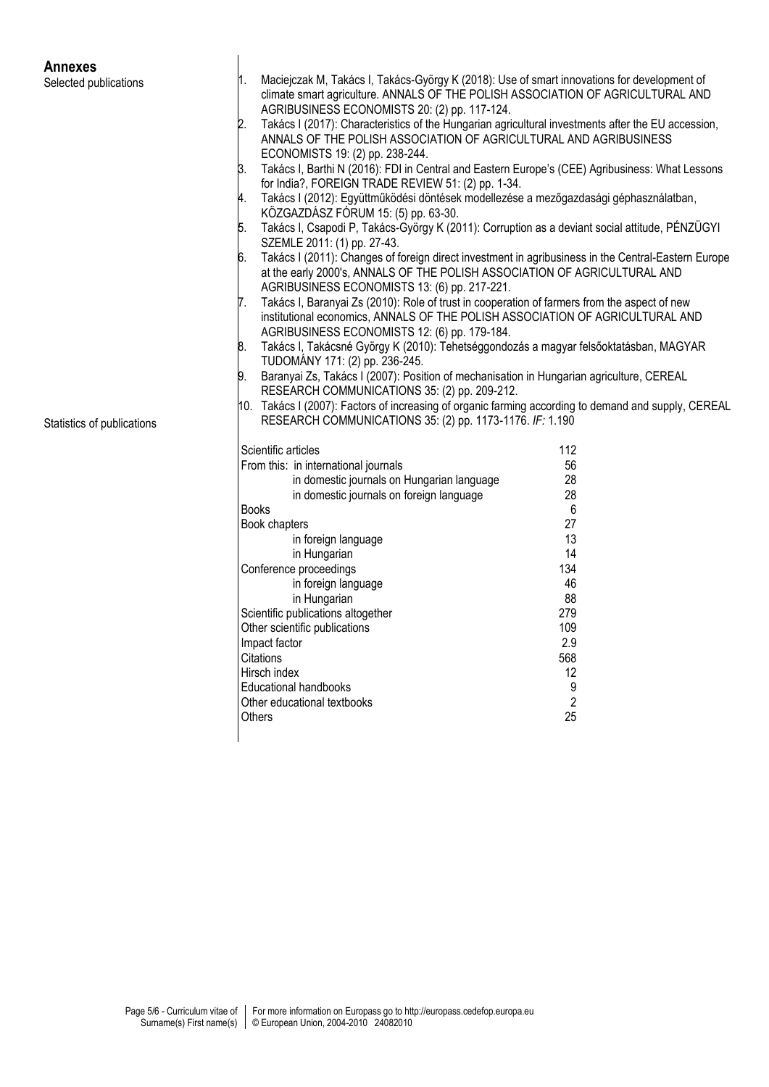## **Annexes**

Selected publications

Statistics of publications 1. Maciejczak M, Takács I, Takács-György K (2018): Use of smart innovations for development of climate smart agriculture. ANNALS OF THE POLISH ASSOCIATION OF AGRICULTURAL AND AGRIBUSINESS ECONOMISTS 20: (2) pp. 117-124. 2. Takács I (2017): Characteristics of the Hungarian agricultural investments after the EU accession, ANNALS OF THE POLISH ASSOCIATION OF AGRICULTURAL AND AGRIBUSINESS ECONOMISTS 19: (2) pp. 238-244. 3. Takács I, Barthi N (2016): FDI in Central and Eastern Europe's (CEE) Agribusiness: What Lessons for India?, FOREIGN TRADE REVIEW 51: (2) pp. 1-34. 4. Takács I (2012): Együttműködési döntések modellezése a mezőgazdasági géphasználatban, KÖZGAZDÁSZ FÓRUM 15: (5) pp. 63-30. 5. Takács I, Csapodi P, Takács-György K (2011): Corruption as a deviant social attitude, PÉNZÜGYI SZEMLE 2011: (1) pp. 27-43. 6. Takács I (2011): Changes of foreign direct investment in agribusiness in the Central-Eastern Europe at the early 2000's, ANNALS OF THE POLISH ASSOCIATION OF AGRICULTURAL AND AGRIBUSINESS ECONOMISTS 13: (6) pp. 217-221. 7. Takács I, Baranyai Zs (2010): Role of trust in cooperation of farmers from the aspect of new institutional economics, ANNALS OF THE POLISH ASSOCIATION OF AGRICULTURAL AND AGRIBUSINESS ECONOMISTS 12: (6) pp. 179-184. 8. Takács I, Takácsné György K (2010): Tehetséggondozás a magyar felsőoktatásban, MAGYAR TUDOMÁNY 171: (2) pp. 236-245. 9. Baranyai Zs, Takács I (2007): Position of mechanisation in Hungarian agriculture, CEREAL RESEARCH COMMUNICATIONS 35: (2) pp. 209-212. 10. Takács I (2007): Factors of increasing of organic farming according to demand and supply, CEREAL RESEARCH COMMUNICATIONS 35: (2) pp. 1173-1176. *IF:* 1.190 Scientific articles 112 From this: in international journals<br>in domestic journals on Hungarian Janguage 38 in domestic journals on Hungarian language 28 in domestic journals on foreign language Books 6 Book chapters 27 in foreign language 13 in Hungarian 14 Conference proceedings 134 in foreign language 46 in Hungarian 88 Scientific publications altogether 279 Other scientific publications 109<br>
Impact factor 109<br>
2.9 Impact factor 2.9 Citations Hirsch index 12 Educational handbooks and the set of the set of the set of the set of the set of the set of the set of the set of the set of the set of the set of the set of the set of the set of the set of the set of the set of the set o Other educational textbooks  $\begin{array}{ccc} \text{2} \\ \text{25} \end{array}$ 

Others 25